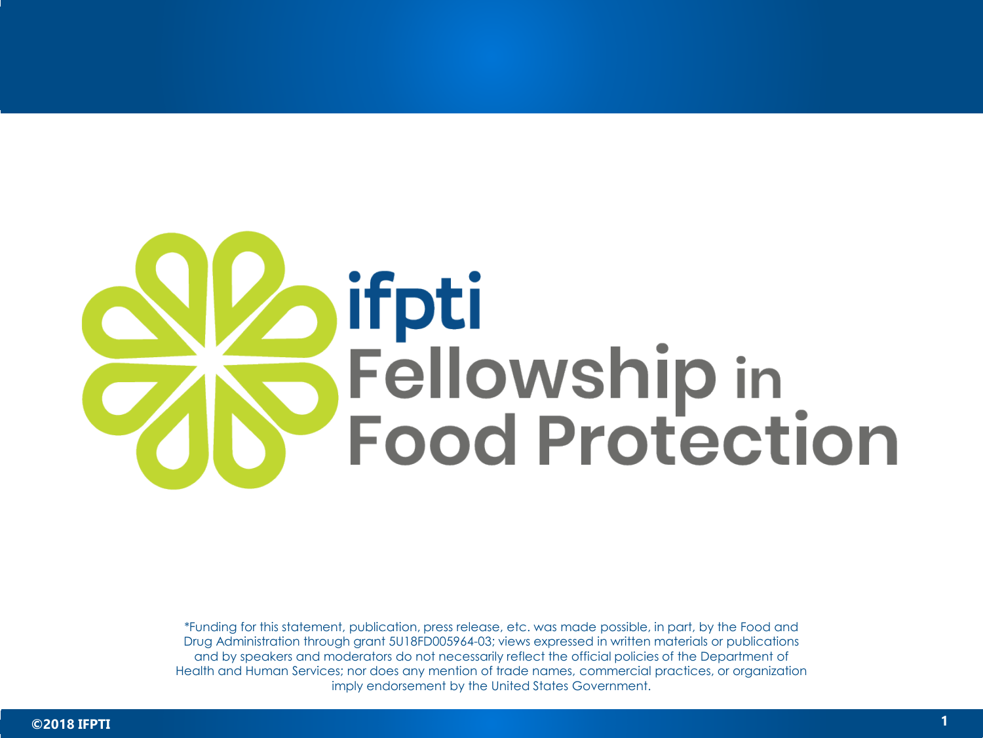

\*Funding for this statement, publication, press release, etc. was made possible, in part, by the Food and Drug Administration through grant 5U18FD005964-03; views expressed in written materials or publications and by speakers and moderators do not necessarily reflect the official policies of the Department of Health and Human Services; nor does any mention of trade names, commercial practices, or organization imply endorsement by the United States Government.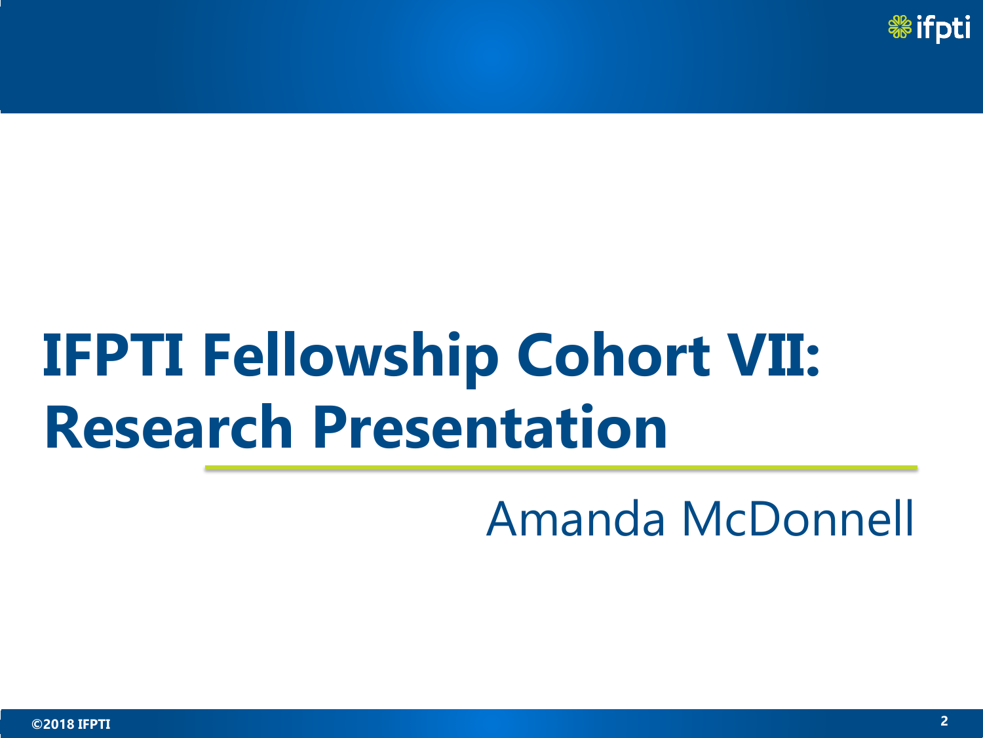

## **IFPTI Fellowship Cohort VII: Research Presentation**

Amanda McDonnell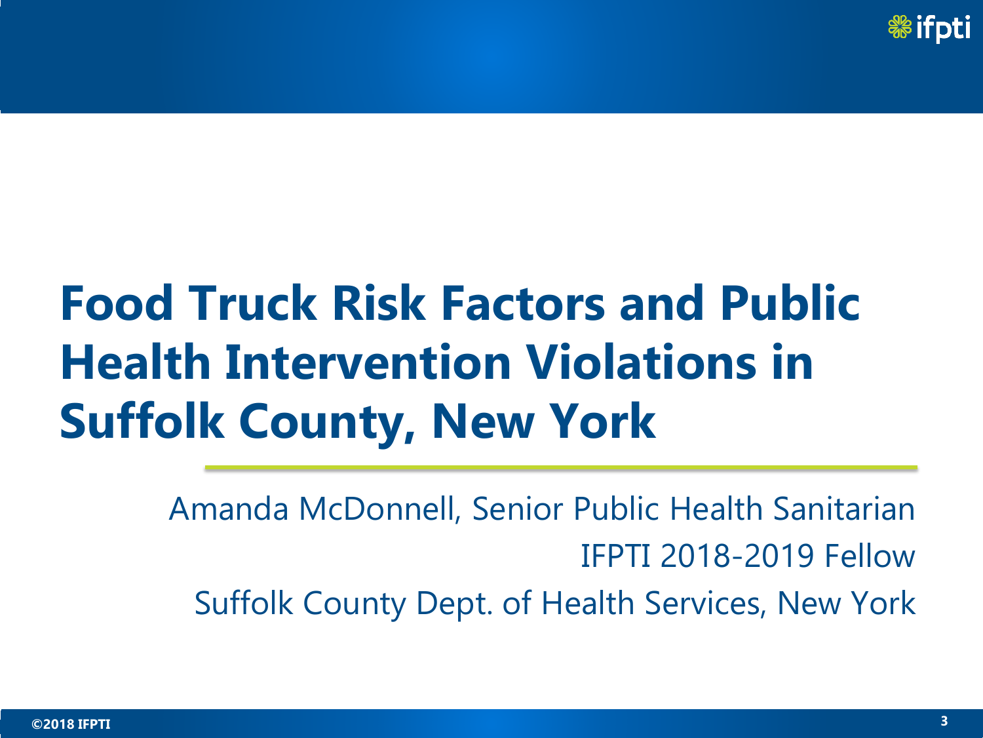

## **Food Truck Risk Factors and Public Health Intervention Violations in Suffolk County, New York**

Amanda McDonnell, Senior Public Health Sanitarian IFPTI 2018-2019 Fellow Suffolk County Dept. of Health Services, New York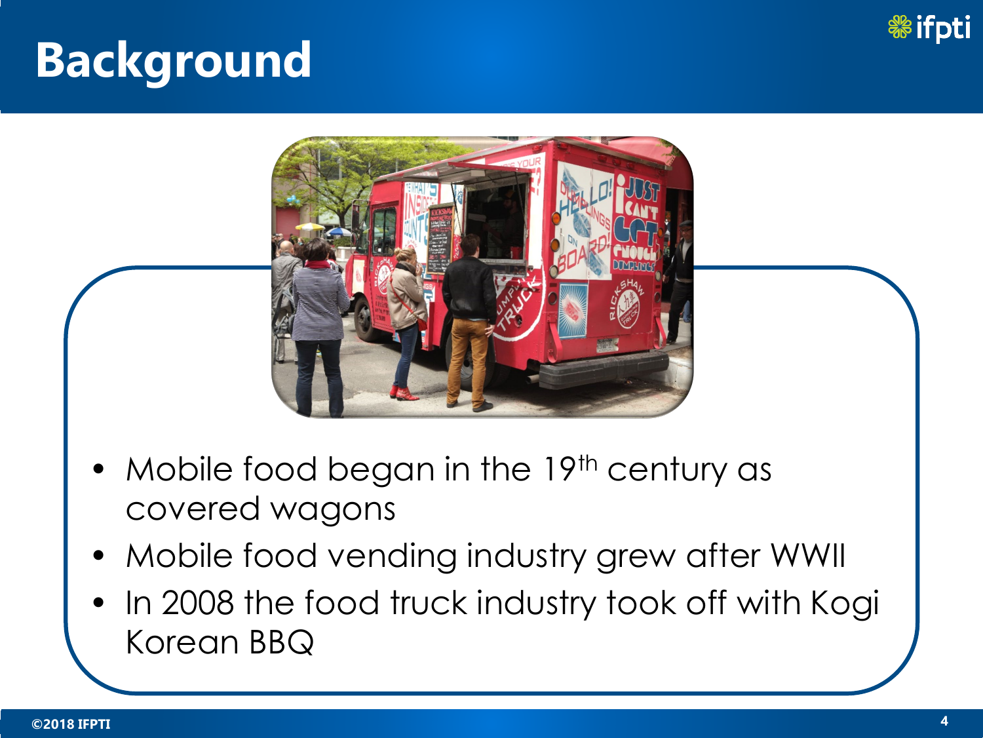



- Mobile food began in the 19th century as covered wagons
- Mobile food vending industry grew after WWII
- In 2008 the food truck industry took off with Kogi Korean BBQ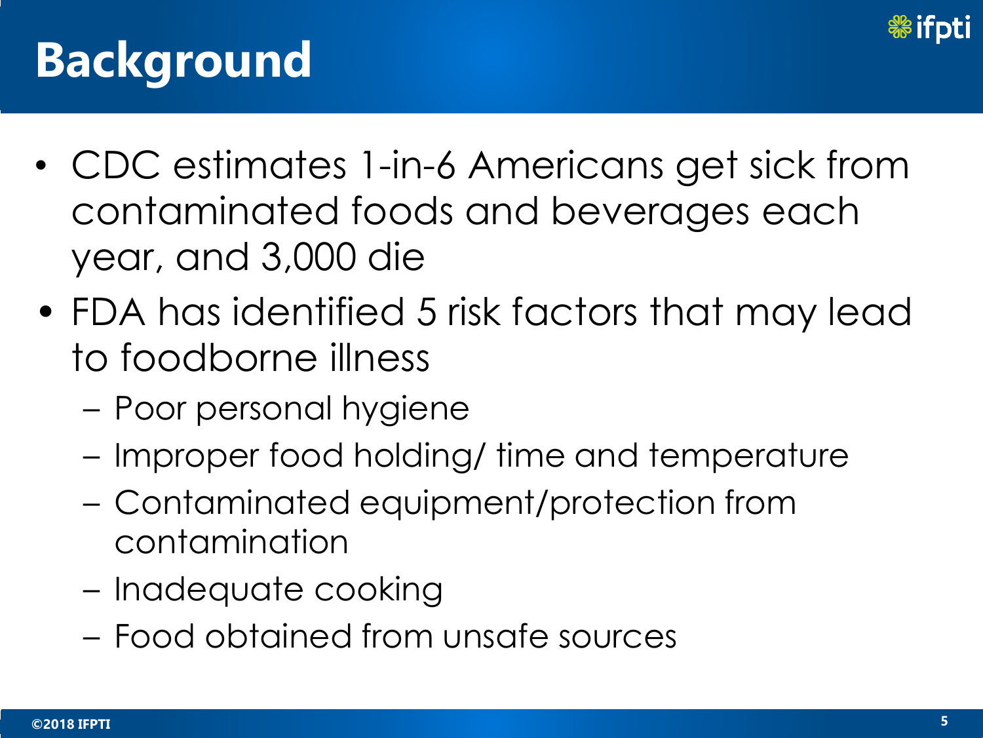

- CDC estimates 1-in-6 Americans get sick from contaminated foods and beverages each year, and 3,000 die
- FDA has identified 5 risk factors that may lead to foodborne illness
	- Poor personal hygiene
	- Improper food holding/ time and temperature
	- Contaminated equipment/protection from contamination
	- Inadequate cooking
	- Food obtained from unsafe sources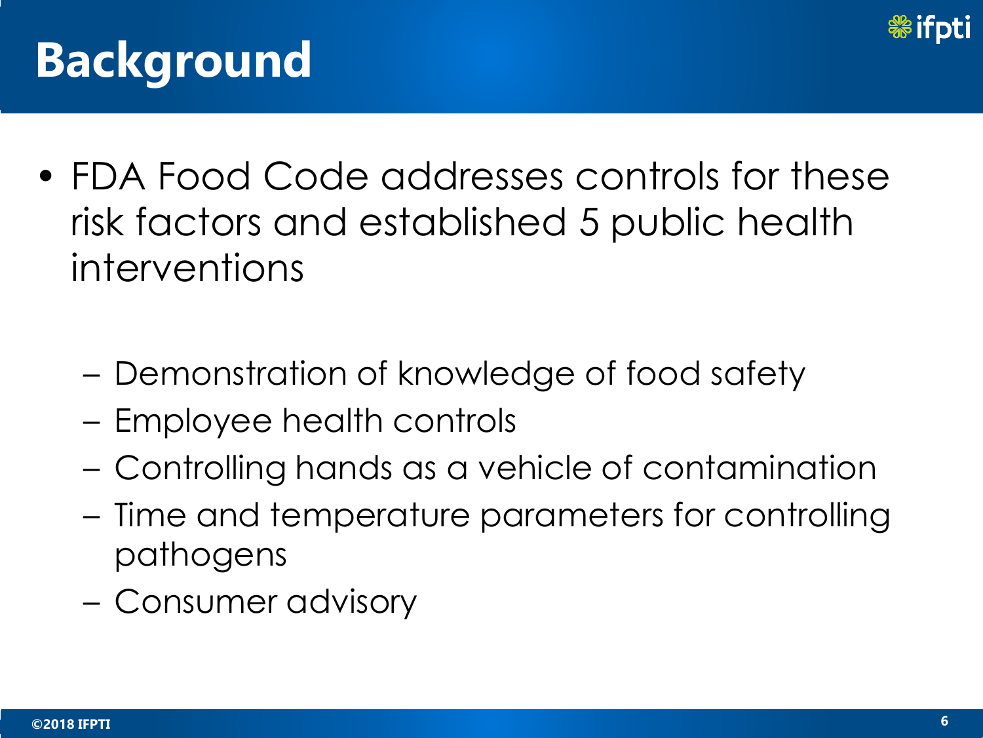

- FDA Food Code addresses controls for these risk factors and established 5 public health interventions
	- Demonstration of knowledge of food safety
	- Employee health controls
	- Controlling hands as a vehicle of contamination
	- Time and temperature parameters for controlling pathogens
	- Consumer advisory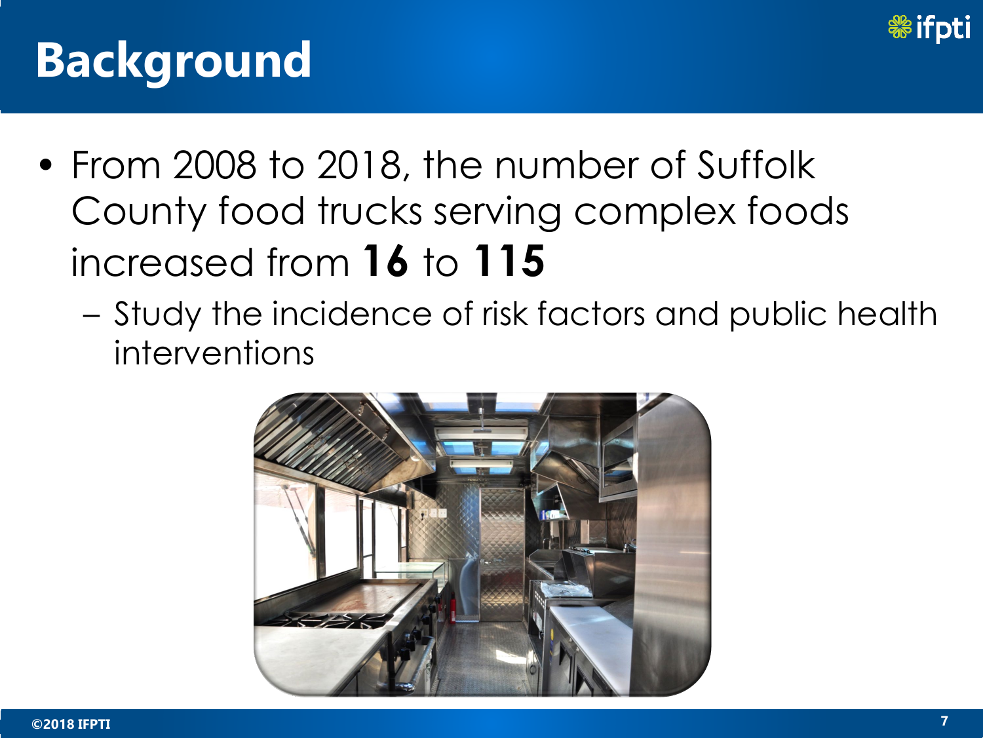

- From 2008 to 2018, the number of Suffolk County food trucks serving complex foods increased from **16** to **115**
	- Study the incidence of risk factors and public health interventions

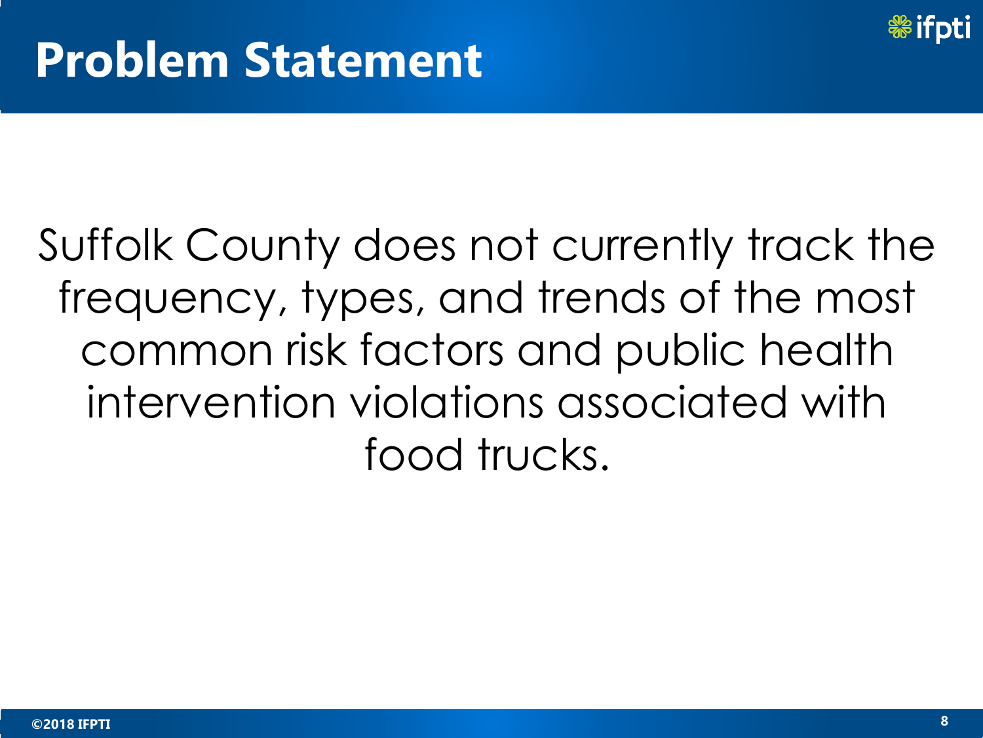

## Suffolk County does not currently track the frequency, types, and trends of the most common risk factors and public health intervention violations associated with food trucks.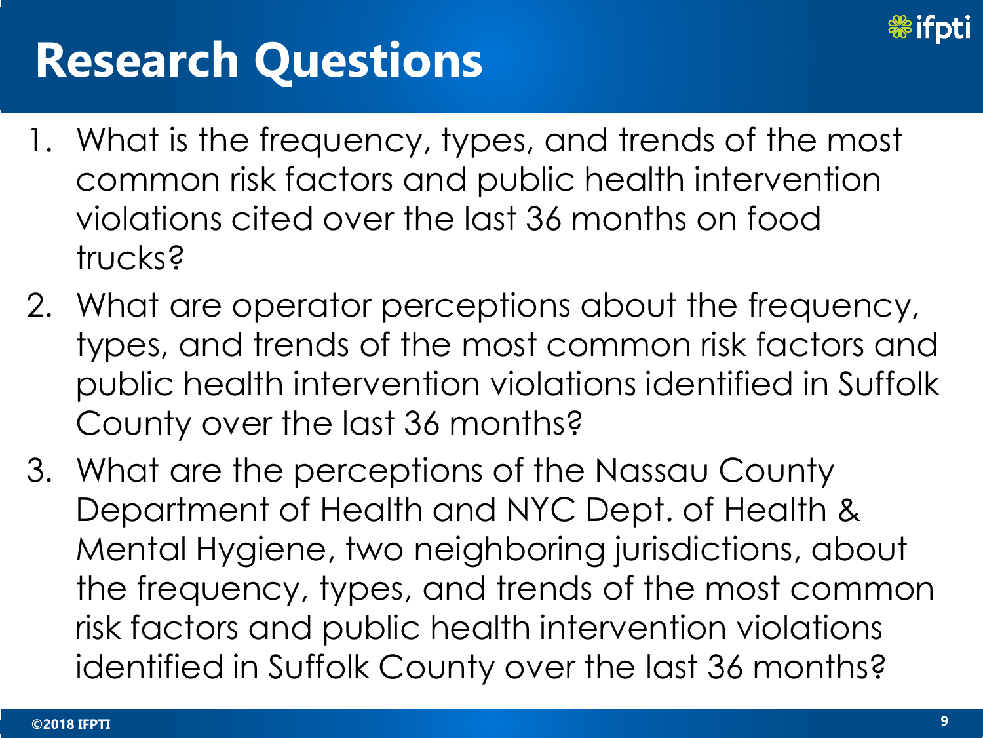

## **Research Questions**

- 1. What is the frequency, types, and trends of the most common risk factors and public health intervention violations cited over the last 36 months on food trucks?
- 2. What are operator perceptions about the frequency, types, and trends of the most common risk factors and public health intervention violations identified in Suffolk County over the last 36 months?
- 3. What are the perceptions of the Nassau County Department of Health and NYC Dept. of Health & Mental Hygiene, two neighboring jurisdictions, about the frequency, types, and trends of the most common risk factors and public health intervention violations identified in Suffolk County over the last 36 months?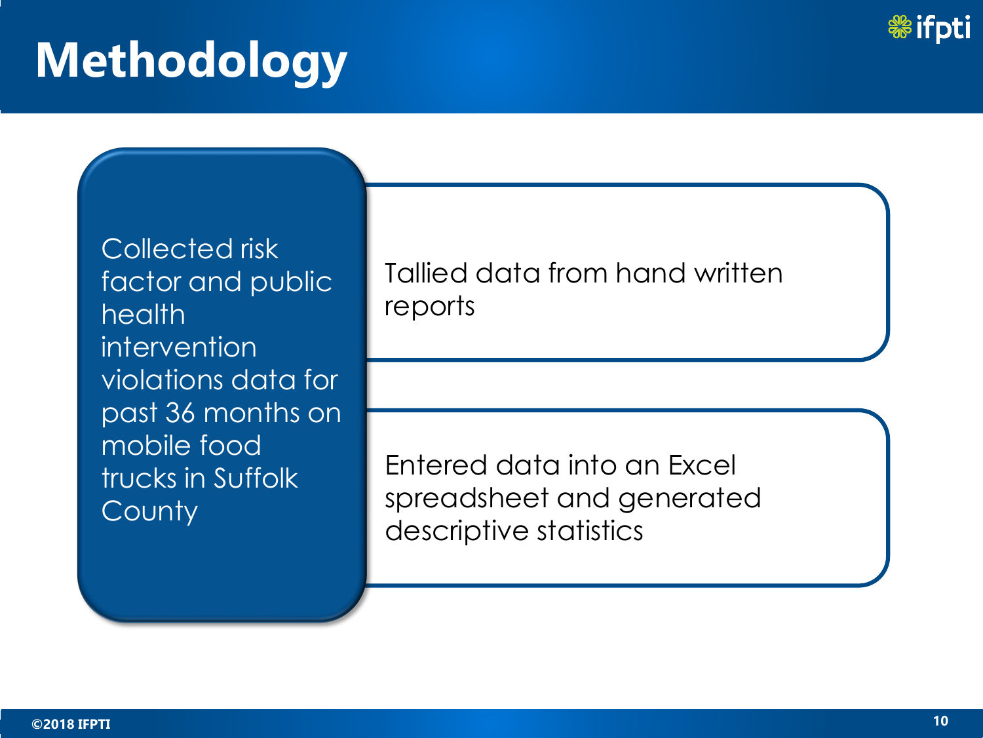

Collected risk factor and public health intervention violations data for past 36 months on mobile food trucks in Suffolk **County** 

Tallied data from hand written reports

Entered data into an Excel spreadsheet and generated descriptive statistics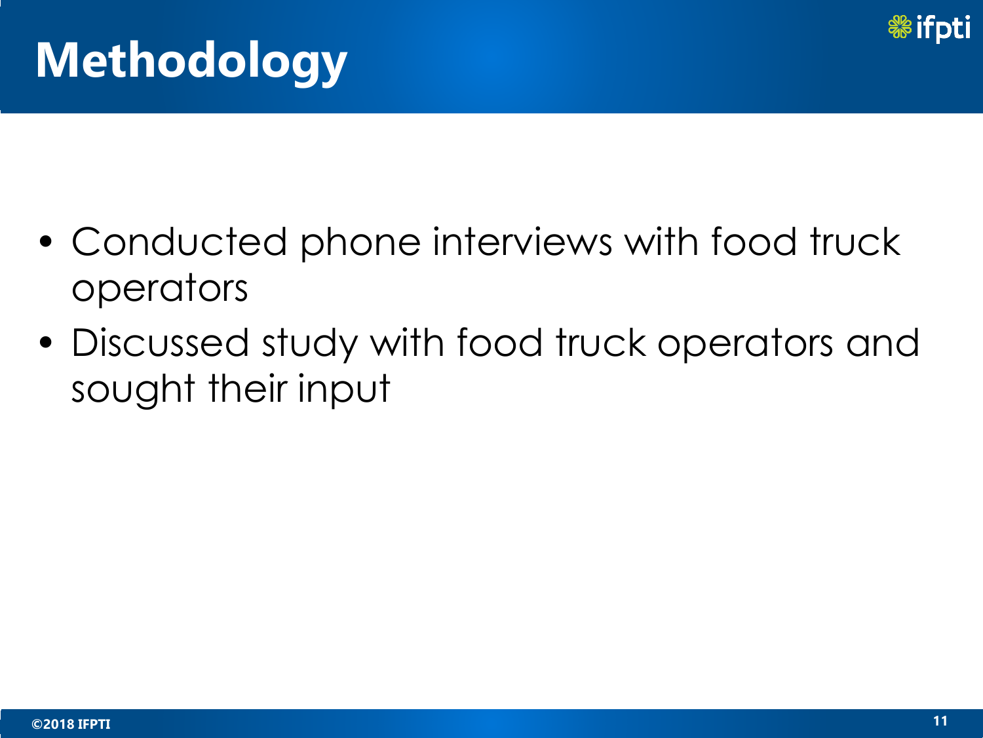

- Conducted phone interviews with food truck operators
- Discussed study with food truck operators and sought their input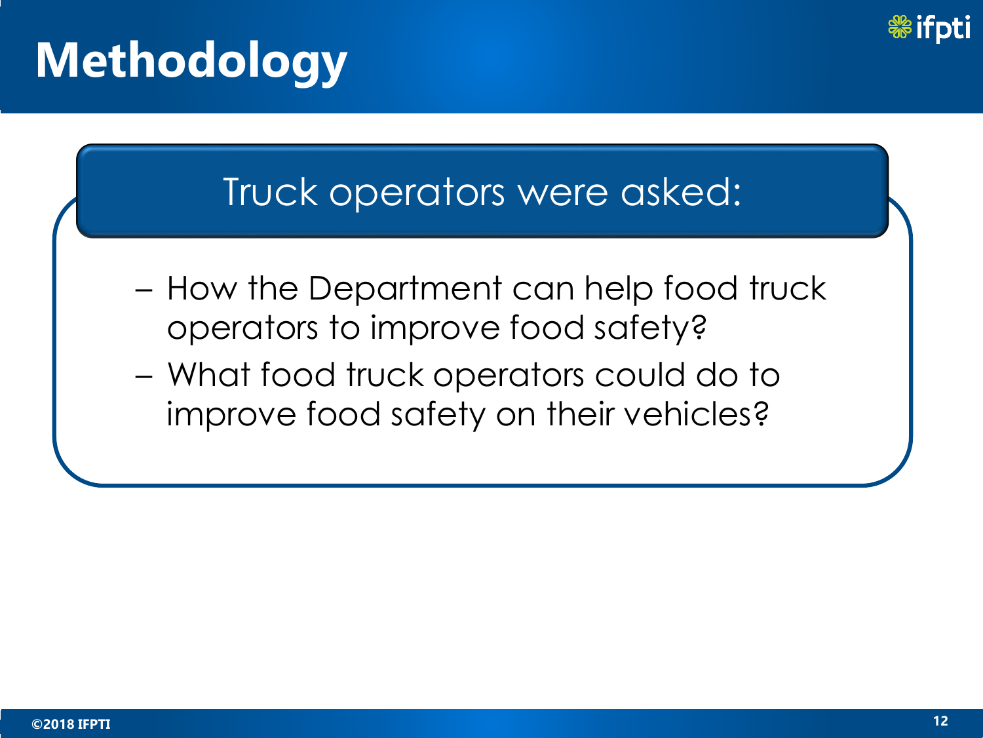

#### Truck operators were asked:

- How the Department can help food truck operators to improve food safety?
- What food truck operators could do to improve food safety on their vehicles?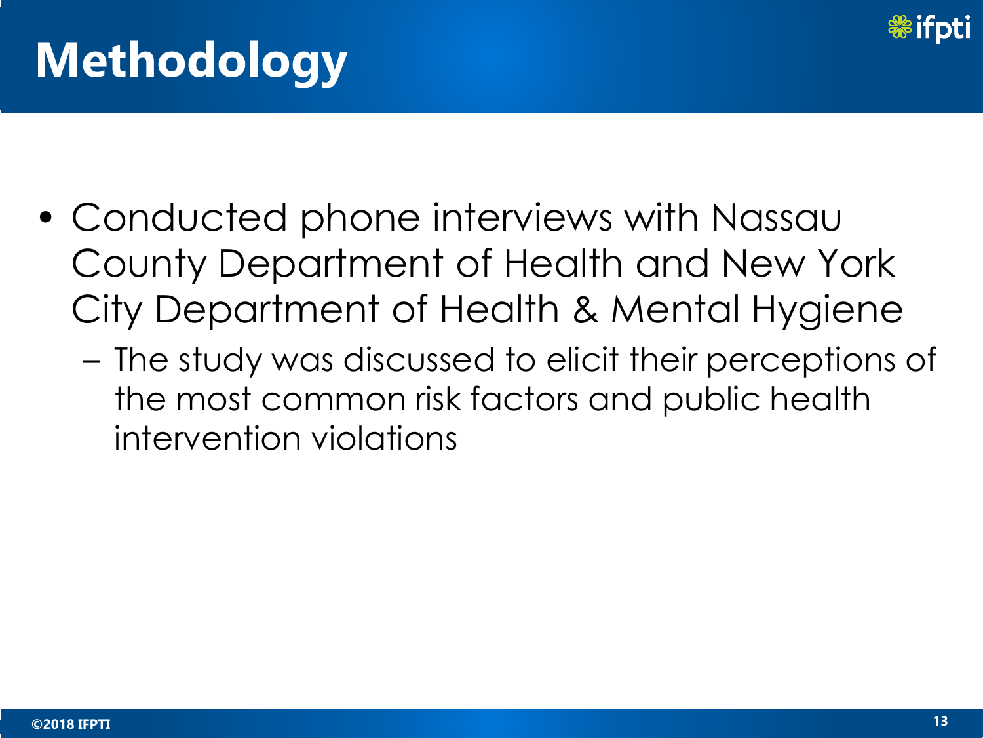

- Conducted phone interviews with Nassau County Department of Health and New York City Department of Health & Mental Hygiene
	- The study was discussed to elicit their perceptions of the most common risk factors and public health intervention violations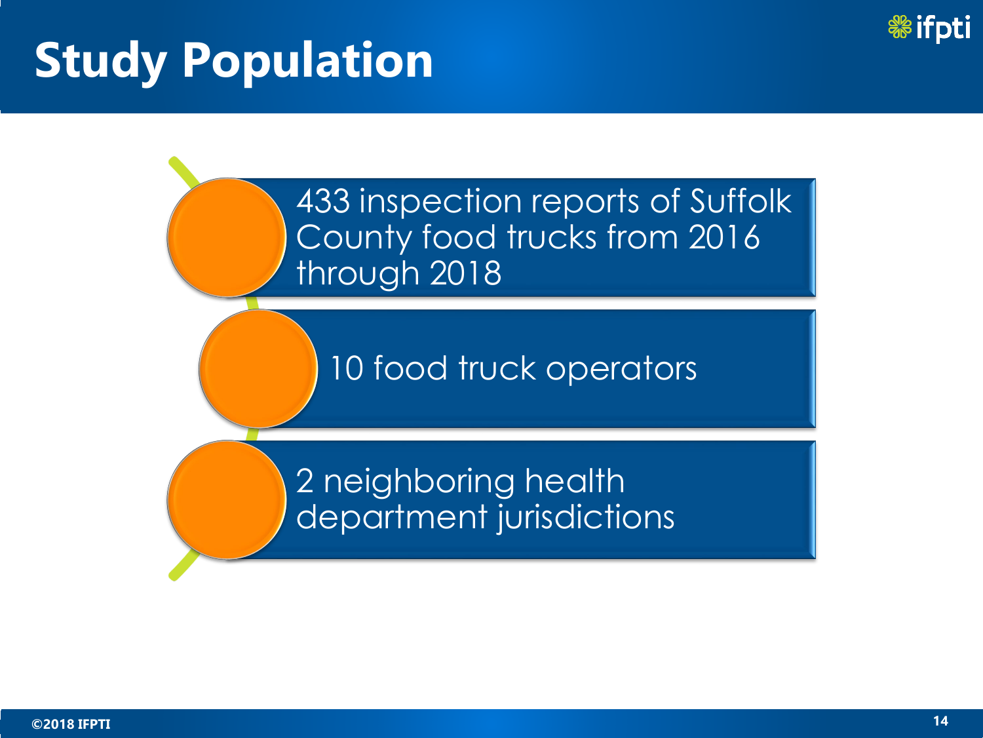

## **Study Population**

433 inspection reports of Suffolk County food trucks from 2016 through 2018

10 food truck operators

2 neighboring health department jurisdictions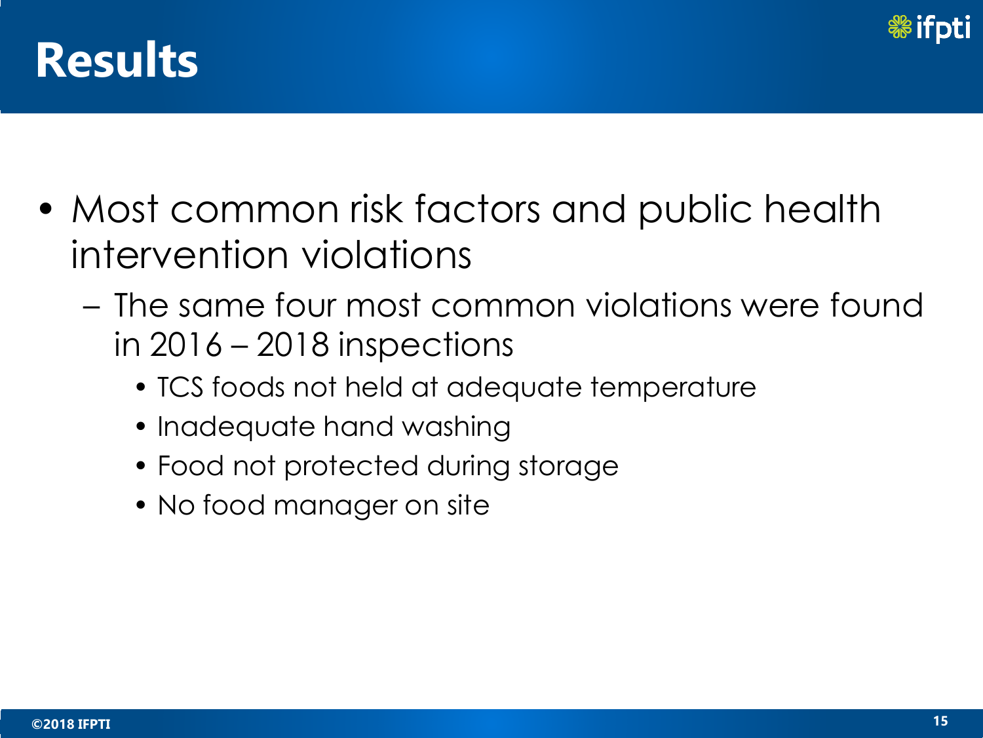

- Most common risk factors and public health intervention violations
	- The same four most common violations were found in 2016 – 2018 inspections
		- TCS foods not held at adequate temperature
		- Inadequate hand washing
		- Food not protected during storage
		- No food manager on site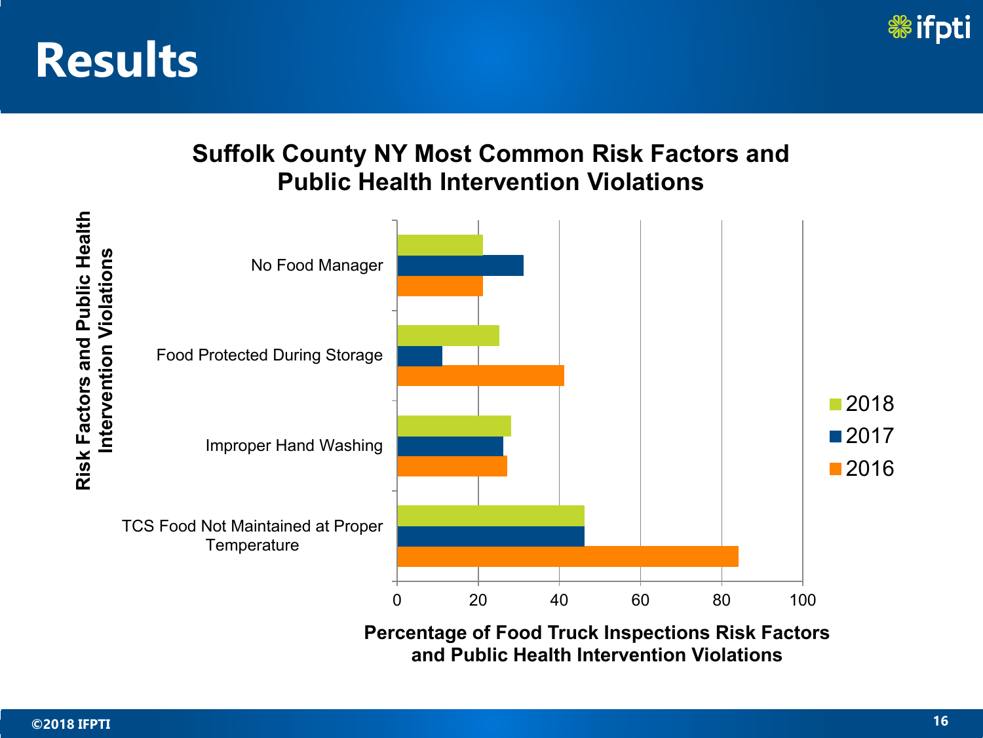

#### **Suffolk County NY Most Common Risk Factors and Public Health Intervention Violations**



**Percentage of Food Truck Inspections Risk Factors and Public Health Intervention Violations**

**Risk Factors and Public Health**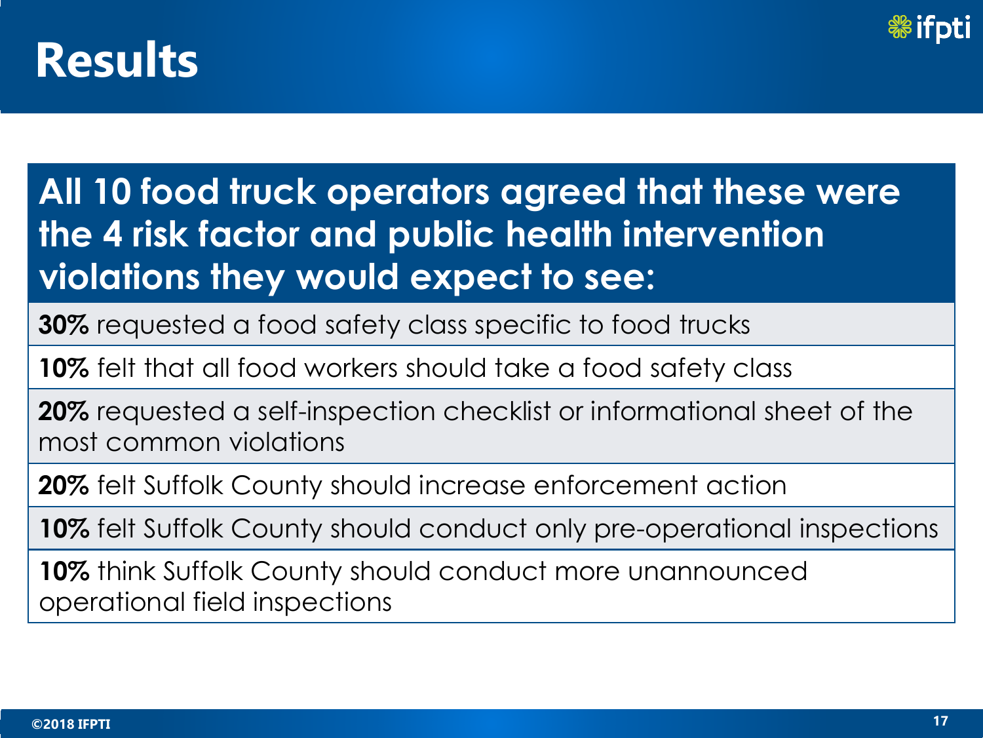

**All 10 food truck operators agreed that these were the 4 risk factor and public health intervention violations they would expect to see:**

**30%** requested a food safety class specific to food trucks

**10%** felt that all food workers should take a food safety class

**20%** requested a self-inspection checklist or informational sheet of the most common violations

**20%** felt Suffolk County should increase enforcement action

**10%** felt Suffolk County should conduct only pre-operational inspections

**10%** think Suffolk County should conduct more unannounced operational field inspections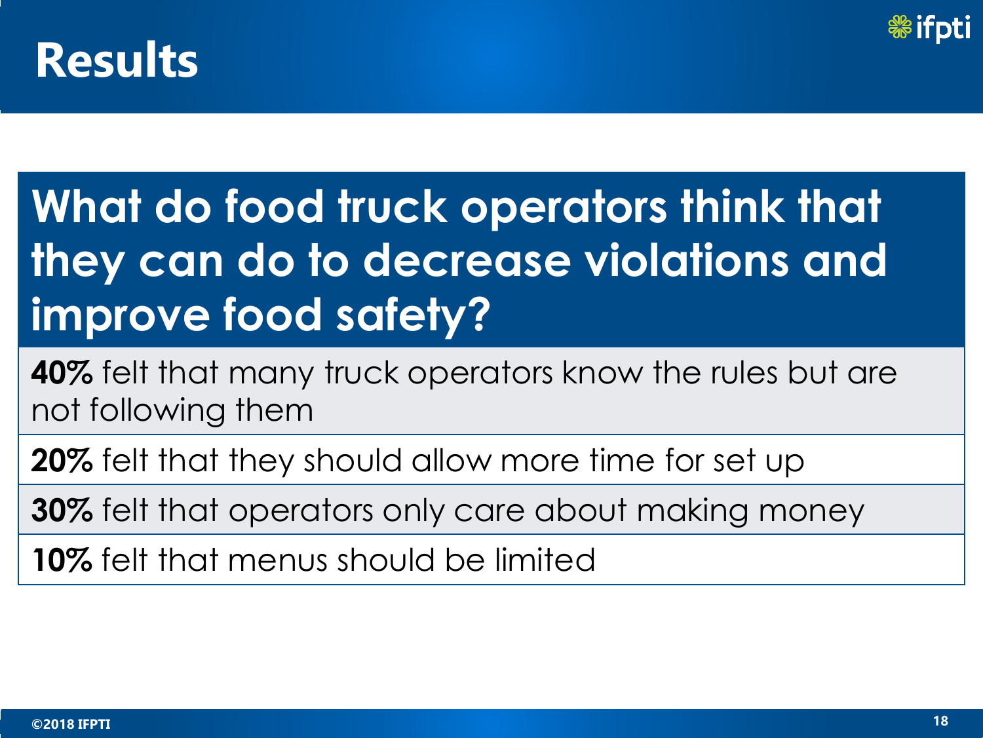

## **What do food truck operators think that they can do to decrease violations and improve food safety?**

**40%** felt that many truck operators know the rules but are not following them

**20%** felt that they should allow more time for set up

**30%** felt that operators only care about making money

**10%** felt that menus should be limited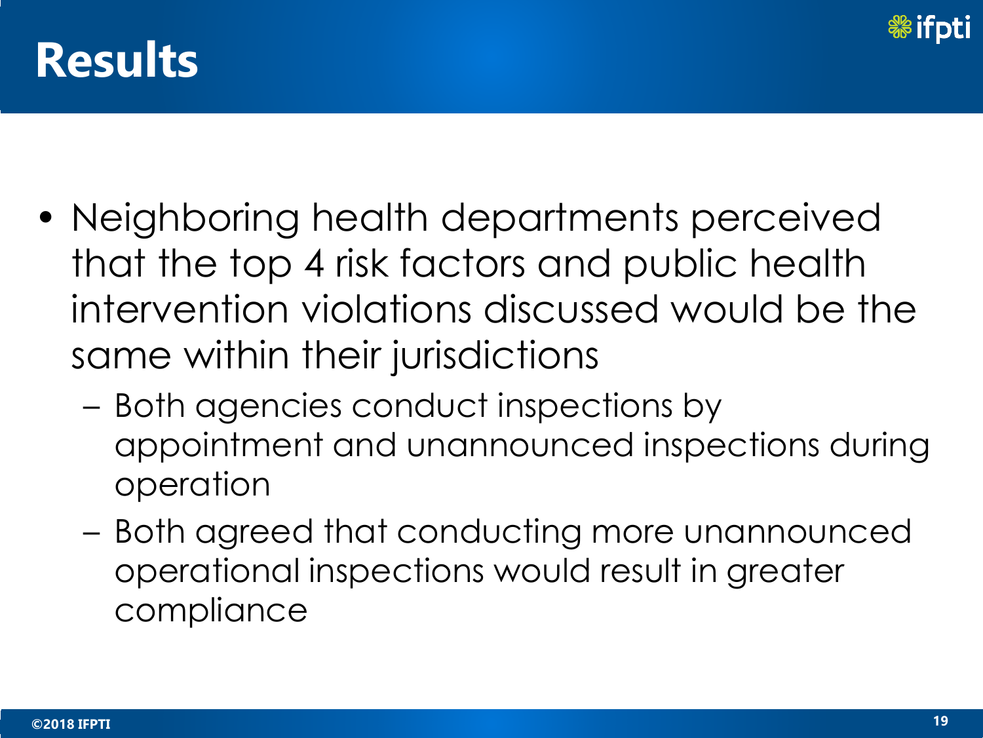

- Neighboring health departments perceived that the top 4 risk factors and public health intervention violations discussed would be the same within their jurisdictions
	- Both agencies conduct inspections by appointment and unannounced inspections during operation
	- Both agreed that conducting more unannounced operational inspections would result in greater compliance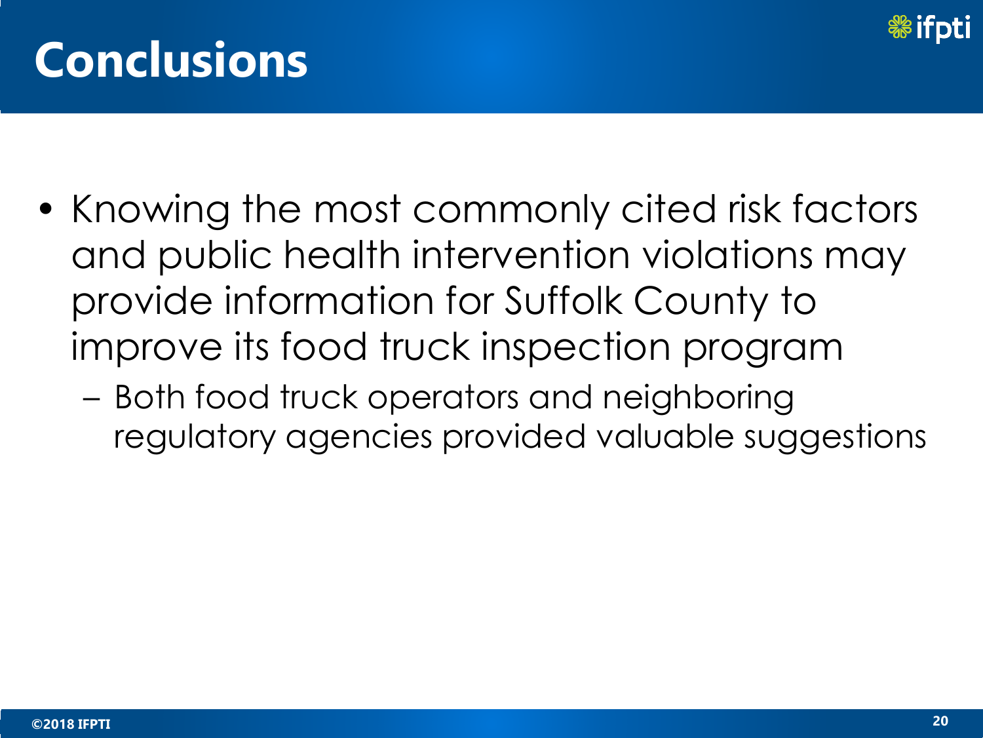

## **Conclusions**

- Knowing the most commonly cited risk factors and public health intervention violations may provide information for Suffolk County to improve its food truck inspection program
	- Both food truck operators and neighboring regulatory agencies provided valuable suggestions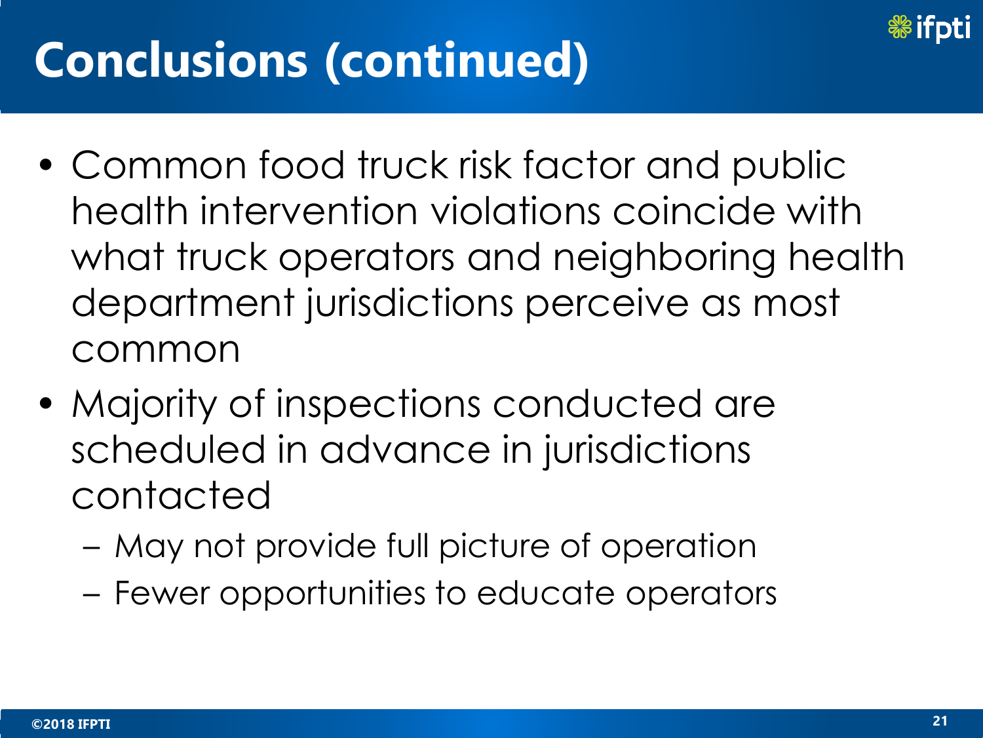

## **Conclusions (continued)**

- Common food truck risk factor and public health intervention violations coincide with what truck operators and neighboring health department jurisdictions perceive as most common
- Majority of inspections conducted are scheduled in advance in jurisdictions contacted
	- May not provide full picture of operation
	- Fewer opportunities to educate operators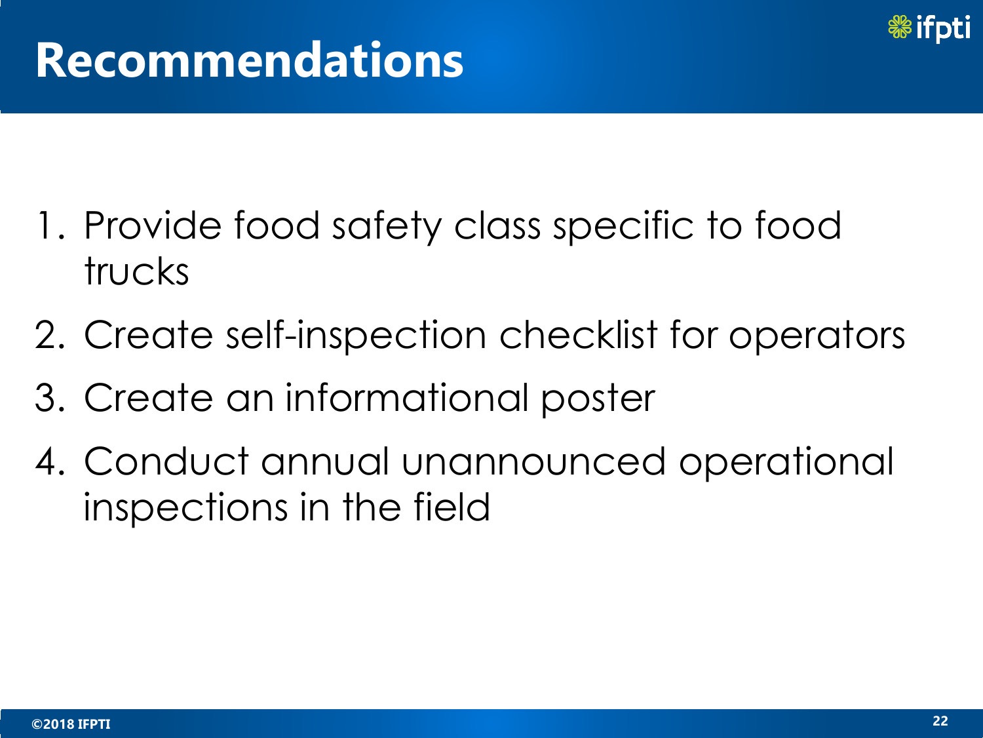

### **Recommendations**

- 1. Provide food safety class specific to food trucks
- 2. Create self-inspection checklist for operators
- 3. Create an informational poster
- 4. Conduct annual unannounced operational inspections in the field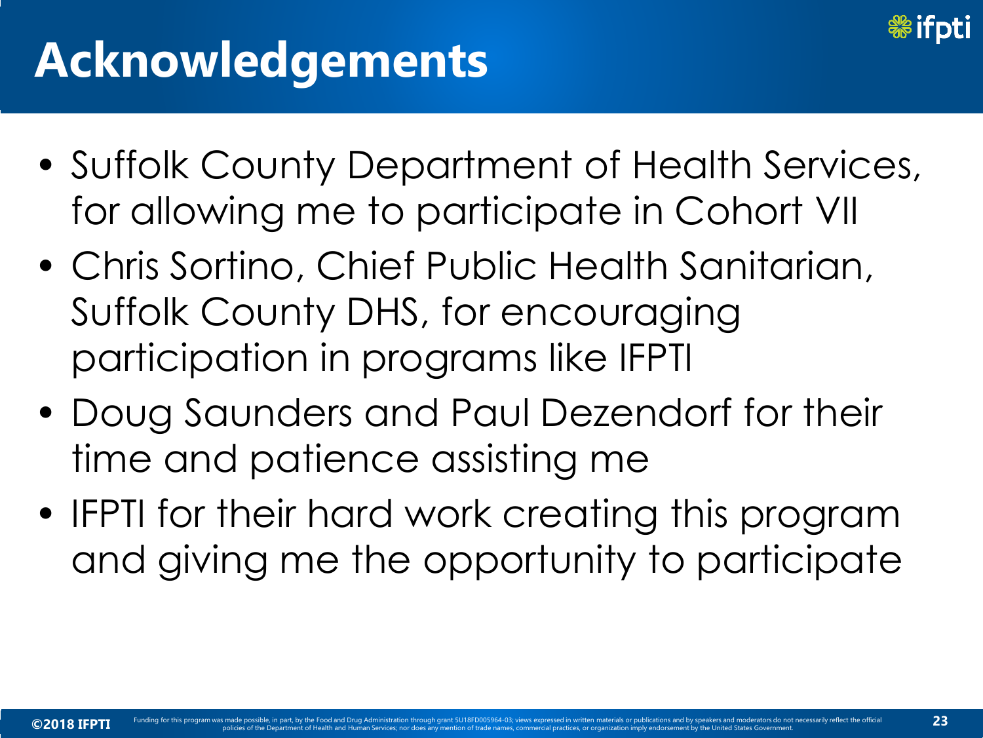

## **Acknowledgements**

- Suffolk County Department of Health Services, for allowing me to participate in Cohort VII
- Chris Sortino, Chief Public Health Sanitarian, Suffolk County DHS, for encouraging participation in programs like IFPTI
- Doug Saunders and Paul Dezendorf for their time and patience assisting me
- IFPTI for their hard work creating this program and giving me the opportunity to participate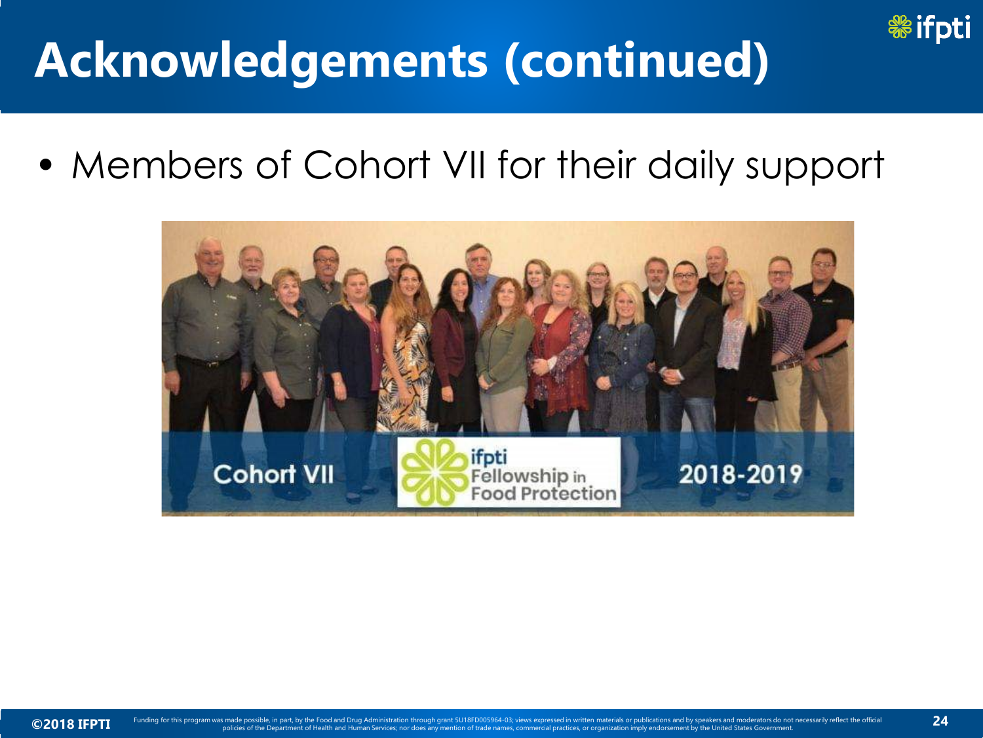

## **Acknowledgements (continued)**

• Members of Cohort VII for their daily support